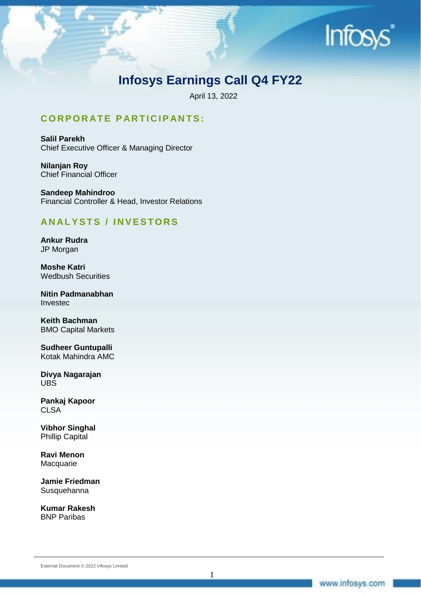

# **Infosys Earnings Call Q4 FY22**

April 13, 2022

## **C O R P O R AT E P AR T I C I P AN TS:**

**Salil Parekh** Chief Executive Officer & Managing Director

**Nilanjan Roy** Chief Financial Officer

**Sandeep Mahindroo** Financial Controller & Head, Investor Relations

## **AN AL Y S T S / I N V E S T O R S**

**Ankur Rudra** JP Morgan

**Moshe Katri** Wedbush Securities

**Nitin Padmanabhan** Investec

**Keith Bachman** BMO Capital Markets

**Sudheer Guntupalli** Kotak Mahindra AMC

**Divya Nagarajan** UBS

**Pankaj Kapoor CLSA** 

**Vibhor Singhal** Phillip Capital

**Ravi Menon** Macquarie

**Jamie Friedman** Susquehanna

**Kumar Rakesh** BNP Paribas

External Document © 2022 Infosys Limited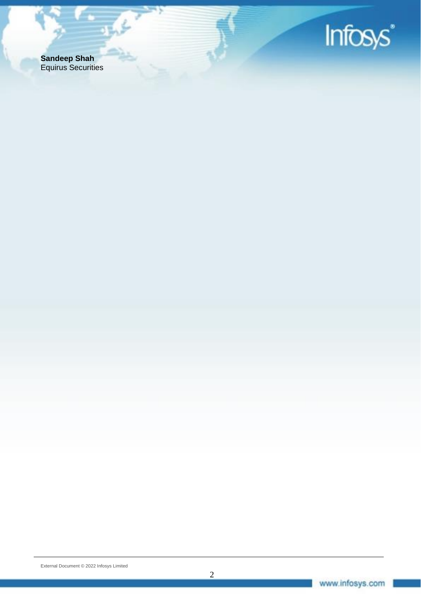

**Sandeep Shah** Equirus Securities

المحاربية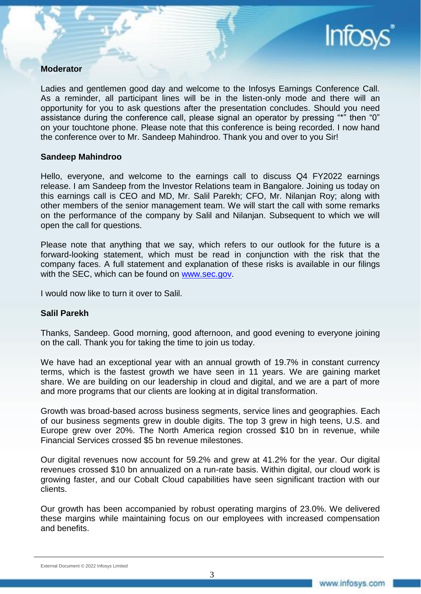

#### **Moderator**

Ladies and gentlemen good day and welcome to the Infosys Earnings Conference Call. As a reminder, all participant lines will be in the listen-only mode and there will an opportunity for you to ask questions after the presentation concludes. Should you need assistance during the conference call, please signal an operator by pressing "\*" then "0" on your touchtone phone. Please note that this conference is being recorded. I now hand the conference over to Mr. Sandeep Mahindroo. Thank you and over to you Sir!

#### **Sandeep Mahindroo**

Hello, everyone, and welcome to the earnings call to discuss Q4 FY2022 earnings release. I am Sandeep from the Investor Relations team in Bangalore. Joining us today on this earnings call is CEO and MD, Mr. Salil Parekh; CFO, Mr. Nilanjan Roy; along with other members of the senior management team. We will start the call with some remarks on the performance of the company by Salil and Nilanjan. Subsequent to which we will open the call for questions.

Please note that anything that we say, which refers to our outlook for the future is a forward-looking statement, which must be read in conjunction with the risk that the company faces. A full statement and explanation of these risks is available in our filings with the SEC, which can be found on [www.sec.gov.](http://www.sec.gov/)

I would now like to turn it over to Salil.

#### **Salil Parekh**

Thanks, Sandeep. Good morning, good afternoon, and good evening to everyone joining on the call. Thank you for taking the time to join us today.

We have had an exceptional year with an annual growth of 19.7% in constant currency terms, which is the fastest growth we have seen in 11 years. We are gaining market share. We are building on our leadership in cloud and digital, and we are a part of more and more programs that our clients are looking at in digital transformation.

Growth was broad-based across business segments, service lines and geographies. Each of our business segments grew in double digits. The top 3 grew in high teens, U.S. and Europe grew over 20%. The North America region crossed \$10 bn in revenue, while Financial Services crossed \$5 bn revenue milestones.

Our digital revenues now account for 59.2% and grew at 41.2% for the year. Our digital revenues crossed \$10 bn annualized on a run-rate basis. Within digital, our cloud work is growing faster, and our Cobalt Cloud capabilities have seen significant traction with our clients.

Our growth has been accompanied by robust operating margins of 23.0%. We delivered these margins while maintaining focus on our employees with increased compensation and benefits.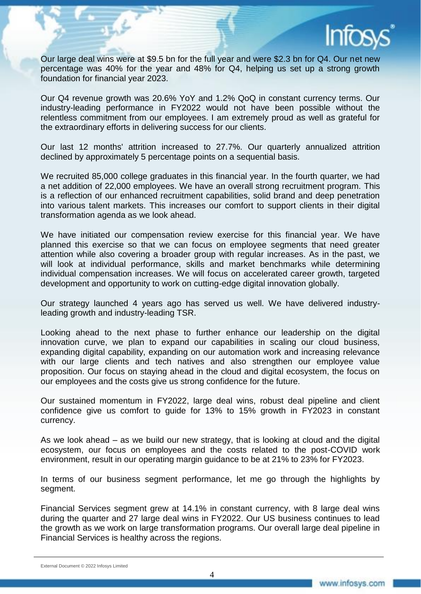

Our large deal wins were at \$9.5 bn for the full year and were \$2.3 bn for Q4. Our net new percentage was 40% for the year and 48% for Q4, helping us set up a strong growth foundation for financial year 2023.

Our Q4 revenue growth was 20.6% YoY and 1.2% QoQ in constant currency terms. Our industry-leading performance in FY2022 would not have been possible without the relentless commitment from our employees. I am extremely proud as well as grateful for the extraordinary efforts in delivering success for our clients.

Our last 12 months' attrition increased to 27.7%. Our quarterly annualized attrition declined by approximately 5 percentage points on a sequential basis.

We recruited 85,000 college graduates in this financial year. In the fourth quarter, we had a net addition of 22,000 employees. We have an overall strong recruitment program. This is a reflection of our enhanced recruitment capabilities, solid brand and deep penetration into various talent markets. This increases our comfort to support clients in their digital transformation agenda as we look ahead.

We have initiated our compensation review exercise for this financial year. We have planned this exercise so that we can focus on employee segments that need greater attention while also covering a broader group with regular increases. As in the past, we will look at individual performance, skills and market benchmarks while determining individual compensation increases. We will focus on accelerated career growth, targeted development and opportunity to work on cutting-edge digital innovation globally.

Our strategy launched 4 years ago has served us well. We have delivered industryleading growth and industry-leading TSR.

Looking ahead to the next phase to further enhance our leadership on the digital innovation curve, we plan to expand our capabilities in scaling our cloud business, expanding digital capability, expanding on our automation work and increasing relevance with our large clients and tech natives and also strengthen our employee value proposition. Our focus on staying ahead in the cloud and digital ecosystem, the focus on our employees and the costs give us strong confidence for the future.

Our sustained momentum in FY2022, large deal wins, robust deal pipeline and client confidence give us comfort to guide for 13% to 15% growth in FY2023 in constant currency.

As we look ahead – as we build our new strategy, that is looking at cloud and the digital ecosystem, our focus on employees and the costs related to the post-COVID work environment, result in our operating margin guidance to be at 21% to 23% for FY2023.

In terms of our business segment performance, let me go through the highlights by segment.

Financial Services segment grew at 14.1% in constant currency, with 8 large deal wins during the quarter and 27 large deal wins in FY2022. Our US business continues to lead the growth as we work on large transformation programs. Our overall large deal pipeline in Financial Services is healthy across the regions.

External Document © 2022 Infosys Limited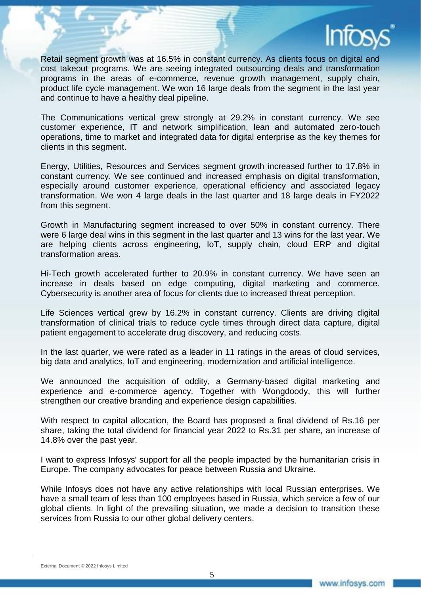

Retail segment growth was at 16.5% in constant currency. As clients focus on digital and cost takeout programs. We are seeing integrated outsourcing deals and transformation programs in the areas of e-commerce, revenue growth management, supply chain, product life cycle management. We won 16 large deals from the segment in the last year and continue to have a healthy deal pipeline.

The Communications vertical grew strongly at 29.2% in constant currency. We see customer experience, IT and network simplification, lean and automated zero-touch operations, time to market and integrated data for digital enterprise as the key themes for clients in this segment.

Energy, Utilities, Resources and Services segment growth increased further to 17.8% in constant currency. We see continued and increased emphasis on digital transformation, especially around customer experience, operational efficiency and associated legacy transformation. We won 4 large deals in the last quarter and 18 large deals in FY2022 from this segment.

Growth in Manufacturing segment increased to over 50% in constant currency. There were 6 large deal wins in this segment in the last quarter and 13 wins for the last year. We are helping clients across engineering, IoT, supply chain, cloud ERP and digital transformation areas.

Hi-Tech growth accelerated further to 20.9% in constant currency. We have seen an increase in deals based on edge computing, digital marketing and commerce. Cybersecurity is another area of focus for clients due to increased threat perception.

Life Sciences vertical grew by 16.2% in constant currency. Clients are driving digital transformation of clinical trials to reduce cycle times through direct data capture, digital patient engagement to accelerate drug discovery, and reducing costs.

In the last quarter, we were rated as a leader in 11 ratings in the areas of cloud services, big data and analytics, IoT and engineering, modernization and artificial intelligence.

We announced the acquisition of oddity, a Germany-based digital marketing and experience and e-commerce agency. Together with Wongdoody, this will further strengthen our creative branding and experience design capabilities.

With respect to capital allocation, the Board has proposed a final dividend of Rs.16 per share, taking the total dividend for financial year 2022 to Rs.31 per share, an increase of 14.8% over the past year.

I want to express Infosys' support for all the people impacted by the humanitarian crisis in Europe. The company advocates for peace between Russia and Ukraine.

While Infosys does not have any active relationships with local Russian enterprises. We have a small team of less than 100 employees based in Russia, which service a few of our global clients. In light of the prevailing situation, we made a decision to transition these services from Russia to our other global delivery centers.

External Document © 2022 Infosys Limited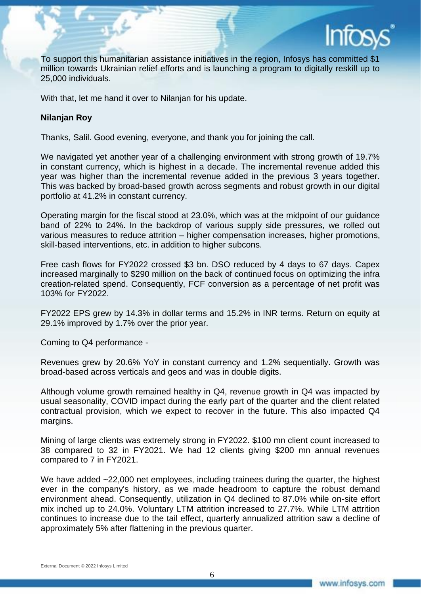

To support this humanitarian assistance initiatives in the region, Infosys has committed \$1 million towards Ukrainian relief efforts and is launching a program to digitally reskill up to 25,000 individuals.

With that, let me hand it over to Nilanjan for his update.

### **Nilanjan Roy**

Thanks, Salil. Good evening, everyone, and thank you for joining the call.

We navigated yet another year of a challenging environment with strong growth of 19.7% in constant currency, which is highest in a decade. The incremental revenue added this year was higher than the incremental revenue added in the previous 3 years together. This was backed by broad-based growth across segments and robust growth in our digital portfolio at 41.2% in constant currency.

Operating margin for the fiscal stood at 23.0%, which was at the midpoint of our guidance band of 22% to 24%. In the backdrop of various supply side pressures, we rolled out various measures to reduce attrition – higher compensation increases, higher promotions, skill-based interventions, etc. in addition to higher subcons.

Free cash flows for FY2022 crossed \$3 bn. DSO reduced by 4 days to 67 days. Capex increased marginally to \$290 million on the back of continued focus on optimizing the infra creation-related spend. Consequently, FCF conversion as a percentage of net profit was 103% for FY2022.

FY2022 EPS grew by 14.3% in dollar terms and 15.2% in INR terms. Return on equity at 29.1% improved by 1.7% over the prior year.

Coming to Q4 performance -

Revenues grew by 20.6% YoY in constant currency and 1.2% sequentially. Growth was broad-based across verticals and geos and was in double digits.

Although volume growth remained healthy in Q4, revenue growth in Q4 was impacted by usual seasonality, COVID impact during the early part of the quarter and the client related contractual provision, which we expect to recover in the future. This also impacted Q4 margins.

Mining of large clients was extremely strong in FY2022. \$100 mn client count increased to 38 compared to 32 in FY2021. We had 12 clients giving \$200 mn annual revenues compared to 7 in FY2021.

We have added ~22,000 net employees, including trainees during the quarter, the highest ever in the company's history, as we made headroom to capture the robust demand environment ahead. Consequently, utilization in Q4 declined to 87.0% while on-site effort mix inched up to 24.0%. Voluntary LTM attrition increased to 27.7%. While LTM attrition continues to increase due to the tail effect, quarterly annualized attrition saw a decline of approximately 5% after flattening in the previous quarter.

External Document © 2022 Infosys Limited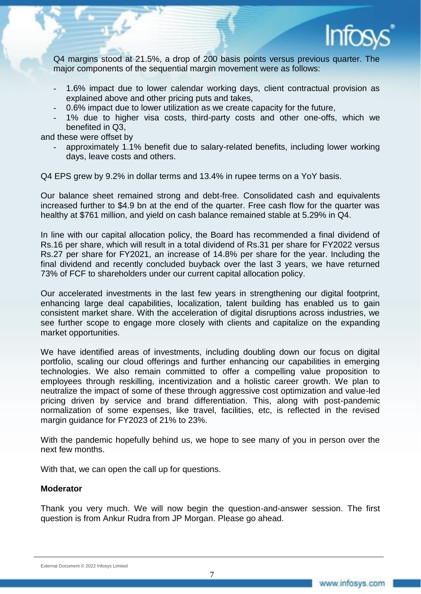

Q4 margins stood at 21.5%, a drop of 200 basis points versus previous quarter. The major components of the sequential margin movement were as follows:

- 1.6% impact due to lower calendar working days, client contractual provision as explained above and other pricing puts and takes,
- 0.6% impact due to lower utilization as we create capacity for the future,
- 1% due to higher visa costs, third-party costs and other one-offs, which we benefited in Q3,

and these were offset by

approximately 1.1% benefit due to salary-related benefits, including lower working days, leave costs and others.

Q4 EPS grew by 9.2% in dollar terms and 13.4% in rupee terms on a YoY basis.

Our balance sheet remained strong and debt-free. Consolidated cash and equivalents increased further to \$4.9 bn at the end of the quarter. Free cash flow for the quarter was healthy at \$761 million, and yield on cash balance remained stable at 5.29% in Q4.

In line with our capital allocation policy, the Board has recommended a final dividend of Rs.16 per share, which will result in a total dividend of Rs.31 per share for FY2022 versus Rs.27 per share for FY2021, an increase of 14.8% per share for the year. Including the final dividend and recently concluded buyback over the last 3 years, we have returned 73% of FCF to shareholders under our current capital allocation policy.

Our accelerated investments in the last few years in strengthening our digital footprint, enhancing large deal capabilities, localization, talent building has enabled us to gain consistent market share. With the acceleration of digital disruptions across industries, we see further scope to engage more closely with clients and capitalize on the expanding market opportunities.

We have identified areas of investments, including doubling down our focus on digital portfolio, scaling our cloud offerings and further enhancing our capabilities in emerging technologies. We also remain committed to offer a compelling value proposition to employees through reskilling, incentivization and a holistic career growth. We plan to neutralize the impact of some of these through aggressive cost optimization and value-led pricing driven by service and brand differentiation. This, along with post-pandemic normalization of some expenses, like travel, facilities, etc, is reflected in the revised margin guidance for FY2023 of 21% to 23%.

With the pandemic hopefully behind us, we hope to see many of you in person over the next few months.

With that, we can open the call up for questions.

#### **Moderator**

Thank you very much. We will now begin the question-and-answer session. The first question is from Ankur Rudra from JP Morgan. Please go ahead.

#### External Document © 2022 Infosys Limited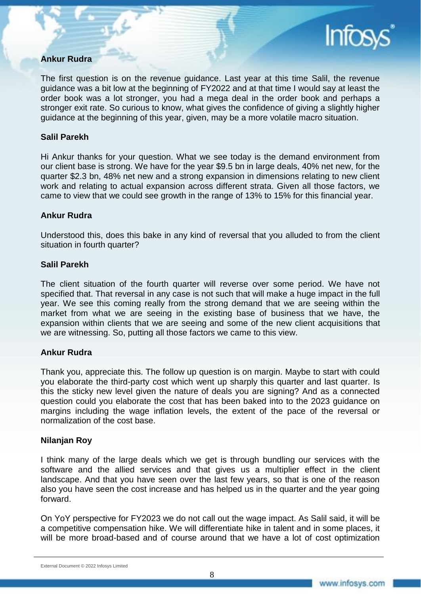## **Ankur Rudra**

The first question is on the revenue guidance. Last year at this time Salil, the revenue guidance was a bit low at the beginning of FY2022 and at that time I would say at least the order book was a lot stronger, you had a mega deal in the order book and perhaps a stronger exit rate. So curious to know, what gives the confidence of giving a slightly higher guidance at the beginning of this year, given, may be a more volatile macro situation.

### **Salil Parekh**

Hi Ankur thanks for your question. What we see today is the demand environment from our client base is strong. We have for the year \$9.5 bn in large deals, 40% net new, for the quarter \$2.3 bn, 48% net new and a strong expansion in dimensions relating to new client work and relating to actual expansion across different strata. Given all those factors, we came to view that we could see growth in the range of 13% to 15% for this financial year.

### **Ankur Rudra**

Understood this, does this bake in any kind of reversal that you alluded to from the client situation in fourth quarter?

### **Salil Parekh**

The client situation of the fourth quarter will reverse over some period. We have not specified that. That reversal in any case is not such that will make a huge impact in the full year. We see this coming really from the strong demand that we are seeing within the market from what we are seeing in the existing base of business that we have, the expansion within clients that we are seeing and some of the new client acquisitions that we are witnessing. So, putting all those factors we came to this view.

#### **Ankur Rudra**

Thank you, appreciate this. The follow up question is on margin. Maybe to start with could you elaborate the third-party cost which went up sharply this quarter and last quarter. Is this the sticky new level given the nature of deals you are signing? And as a connected question could you elaborate the cost that has been baked into to the 2023 guidance on margins including the wage inflation levels, the extent of the pace of the reversal or normalization of the cost base.

#### **Nilanjan Roy**

I think many of the large deals which we get is through bundling our services with the software and the allied services and that gives us a multiplier effect in the client landscape. And that you have seen over the last few years, so that is one of the reason also you have seen the cost increase and has helped us in the quarter and the year going forward.

On YoY perspective for FY2023 we do not call out the wage impact. As Salil said, it will be a competitive compensation hike. We will differentiate hike in talent and in some places, it will be more broad-based and of course around that we have a lot of cost optimization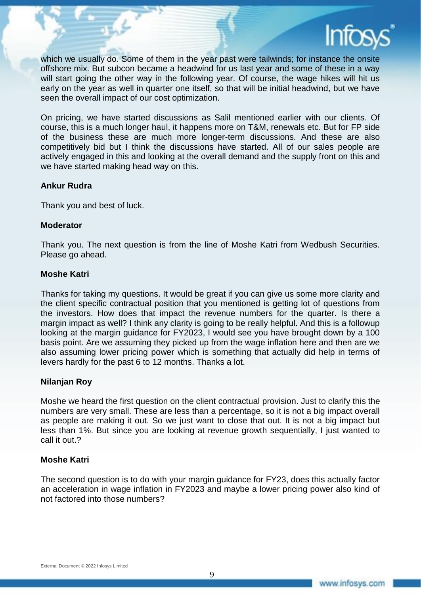

which we usually do. Some of them in the year past were tailwinds; for instance the onsite offshore mix. But subcon became a headwind for us last year and some of these in a way will start going the other way in the following year. Of course, the wage hikes will hit us early on the year as well in quarter one itself, so that will be initial headwind, but we have seen the overall impact of our cost optimization.

On pricing, we have started discussions as Salil mentioned earlier with our clients. Of course, this is a much longer haul, it happens more on T&M, renewals etc. But for FP side of the business these are much more longer-term discussions. And these are also competitively bid but I think the discussions have started. All of our sales people are actively engaged in this and looking at the overall demand and the supply front on this and we have started making head way on this.

### **Ankur Rudra**

Thank you and best of luck.

#### **Moderator**

Thank you. The next question is from the line of Moshe Katri from Wedbush Securities. Please go ahead.

#### **Moshe Katri**

Thanks for taking my questions. It would be great if you can give us some more clarity and the client specific contractual position that you mentioned is getting lot of questions from the investors. How does that impact the revenue numbers for the quarter. Is there a margin impact as well? I think any clarity is going to be really helpful. And this is a followup looking at the margin guidance for FY2023, I would see you have brought down by a 100 basis point. Are we assuming they picked up from the wage inflation here and then are we also assuming lower pricing power which is something that actually did help in terms of levers hardly for the past 6 to 12 months. Thanks a lot.

### **Nilanjan Roy**

Moshe we heard the first question on the client contractual provision. Just to clarify this the numbers are very small. These are less than a percentage, so it is not a big impact overall as people are making it out. So we just want to close that out. It is not a big impact but less than 1%. But since you are looking at revenue growth sequentially, I just wanted to call it out.?

### **Moshe Katri**

The second question is to do with your margin guidance for FY23, does this actually factor an acceleration in wage inflation in FY2023 and maybe a lower pricing power also kind of not factored into those numbers?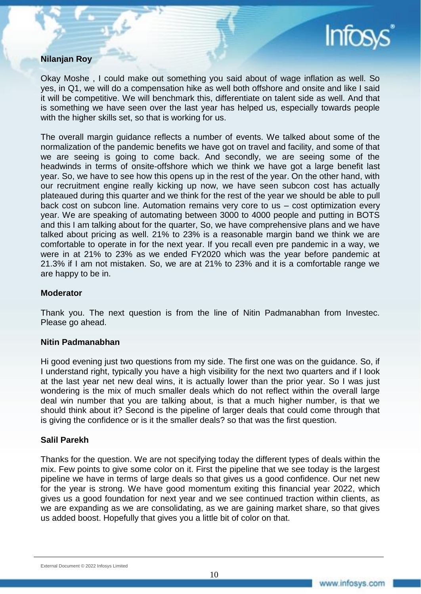

### **Nilanjan Roy**

Okay Moshe , I could make out something you said about of wage inflation as well. So yes, in Q1, we will do a compensation hike as well both offshore and onsite and like I said it will be competitive. We will benchmark this, differentiate on talent side as well. And that is something we have seen over the last year has helped us, especially towards people with the higher skills set, so that is working for us.

The overall margin guidance reflects a number of events. We talked about some of the normalization of the pandemic benefits we have got on travel and facility, and some of that we are seeing is going to come back. And secondly, we are seeing some of the headwinds in terms of onsite-offshore which we think we have got a large benefit last year. So, we have to see how this opens up in the rest of the year. On the other hand, with our recruitment engine really kicking up now, we have seen subcon cost has actually plateaued during this quarter and we think for the rest of the year we should be able to pull back cost on subcon line. Automation remains very core to us – cost optimization every year. We are speaking of automating between 3000 to 4000 people and putting in BOTS and this I am talking about for the quarter, So, we have comprehensive plans and we have talked about pricing as well. 21% to 23% is a reasonable margin band we think we are comfortable to operate in for the next year. If you recall even pre pandemic in a way, we were in at 21% to 23% as we ended FY2020 which was the year before pandemic at 21.3% if I am not mistaken. So, we are at 21% to 23% and it is a comfortable range we are happy to be in.

#### **Moderator**

Thank you. The next question is from the line of Nitin Padmanabhan from Investec. Please go ahead.

#### **Nitin Padmanabhan**

Hi good evening just two questions from my side. The first one was on the guidance. So, if I understand right, typically you have a high visibility for the next two quarters and if I look at the last year net new deal wins, it is actually lower than the prior year. So I was just wondering is the mix of much smaller deals which do not reflect within the overall large deal win number that you are talking about, is that a much higher number, is that we should think about it? Second is the pipeline of larger deals that could come through that is giving the confidence or is it the smaller deals? so that was the first question.

#### **Salil Parekh**

Thanks for the question. We are not specifying today the different types of deals within the mix. Few points to give some color on it. First the pipeline that we see today is the largest pipeline we have in terms of large deals so that gives us a good confidence. Our net new for the year is strong. We have good momentum exiting this financial year 2022, which gives us a good foundation for next year and we see continued traction within clients, as we are expanding as we are consolidating, as we are gaining market share, so that gives us added boost. Hopefully that gives you a little bit of color on that.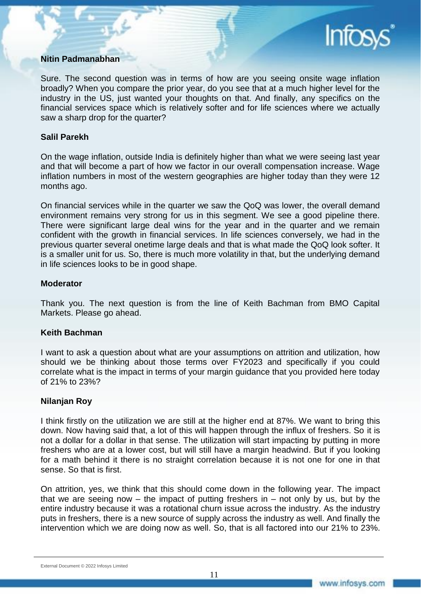

### **Nitin Padmanabhan**

Sure. The second question was in terms of how are you seeing onsite wage inflation broadly? When you compare the prior year, do you see that at a much higher level for the industry in the US, just wanted your thoughts on that. And finally, any specifics on the financial services space which is relatively softer and for life sciences where we actually saw a sharp drop for the quarter?

#### **Salil Parekh**

On the wage inflation, outside India is definitely higher than what we were seeing last year and that will become a part of how we factor in our overall compensation increase. Wage inflation numbers in most of the western geographies are higher today than they were 12 months ago.

On financial services while in the quarter we saw the QoQ was lower, the overall demand environment remains very strong for us in this segment. We see a good pipeline there. There were significant large deal wins for the year and in the quarter and we remain confident with the growth in financial services. In life sciences conversely, we had in the previous quarter several onetime large deals and that is what made the QoQ look softer. It is a smaller unit for us. So, there is much more volatility in that, but the underlying demand in life sciences looks to be in good shape.

#### **Moderator**

Thank you. The next question is from the line of Keith Bachman from BMO Capital Markets. Please go ahead.

#### **Keith Bachman**

I want to ask a question about what are your assumptions on attrition and utilization, how should we be thinking about those terms over FY2023 and specifically if you could correlate what is the impact in terms of your margin guidance that you provided here today of 21% to 23%?

#### **Nilanjan Roy**

I think firstly on the utilization we are still at the higher end at 87%. We want to bring this down. Now having said that, a lot of this will happen through the influx of freshers. So it is not a dollar for a dollar in that sense. The utilization will start impacting by putting in more freshers who are at a lower cost, but will still have a margin headwind. But if you looking for a math behind it there is no straight correlation because it is not one for one in that sense. So that is first.

On attrition, yes, we think that this should come down in the following year. The impact that we are seeing now – the impact of putting freshers in – not only by us, but by the entire industry because it was a rotational churn issue across the industry. As the industry puts in freshers, there is a new source of supply across the industry as well. And finally the intervention which we are doing now as well. So, that is all factored into our 21% to 23%.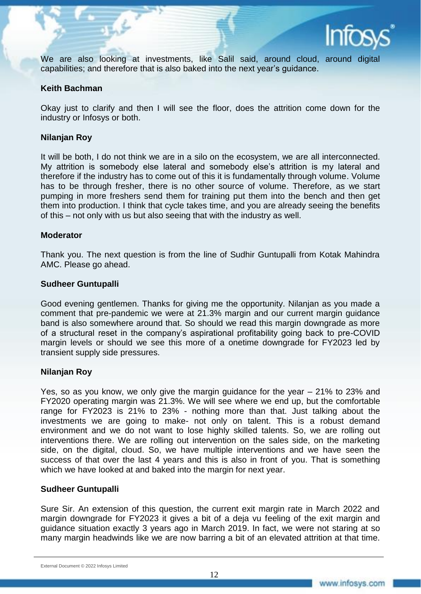

We are also looking at investments, like Salil said, around cloud, around digital capabilities; and therefore that is also baked into the next year's guidance.

#### **Keith Bachman**

Okay just to clarify and then I will see the floor, does the attrition come down for the industry or Infosys or both.

#### **Nilanjan Roy**

It will be both, I do not think we are in a silo on the ecosystem, we are all interconnected. My attrition is somebody else lateral and somebody else's attrition is my lateral and therefore if the industry has to come out of this it is fundamentally through volume. Volume has to be through fresher, there is no other source of volume. Therefore, as we start pumping in more freshers send them for training put them into the bench and then get them into production. I think that cycle takes time, and you are already seeing the benefits of this – not only with us but also seeing that with the industry as well.

#### **Moderator**

Thank you. The next question is from the line of Sudhir Guntupalli from Kotak Mahindra AMC. Please go ahead.

#### **Sudheer Guntupalli**

Good evening gentlemen. Thanks for giving me the opportunity. Nilanjan as you made a comment that pre-pandemic we were at 21.3% margin and our current margin guidance band is also somewhere around that. So should we read this margin downgrade as more of a structural reset in the company's aspirational profitability going back to pre-COVID margin levels or should we see this more of a onetime downgrade for FY2023 led by transient supply side pressures.

#### **Nilanjan Roy**

Yes, so as you know, we only give the margin guidance for the year – 21% to 23% and FY2020 operating margin was 21.3%. We will see where we end up, but the comfortable range for FY2023 is 21% to 23% - nothing more than that. Just talking about the investments we are going to make- not only on talent. This is a robust demand environment and we do not want to lose highly skilled talents. So, we are rolling out interventions there. We are rolling out intervention on the sales side, on the marketing side, on the digital, cloud. So, we have multiple interventions and we have seen the success of that over the last 4 years and this is also in front of you. That is something which we have looked at and baked into the margin for next year.

#### **Sudheer Guntupalli**

Sure Sir. An extension of this question, the current exit margin rate in March 2022 and margin downgrade for FY2023 it gives a bit of a deja vu feeling of the exit margin and guidance situation exactly 3 years ago in March 2019. In fact, we were not staring at so many margin headwinds like we are now barring a bit of an elevated attrition at that time.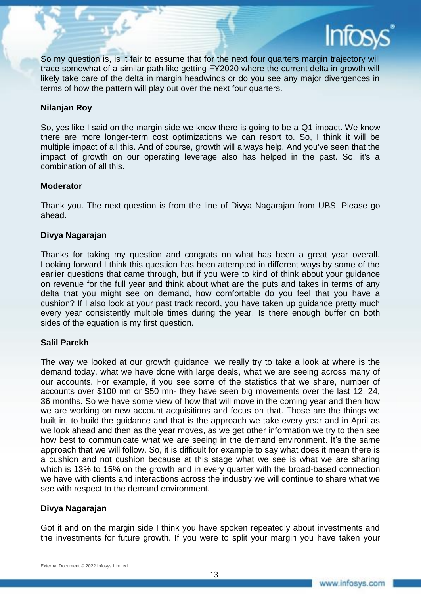

So my question is, is it fair to assume that for the next four quarters margin trajectory will trace somewhat of a similar path like getting FY2020 where the current delta in growth will likely take care of the delta in margin headwinds or do you see any major divergences in terms of how the pattern will play out over the next four quarters.

### **Nilanjan Roy**

So, yes like I said on the margin side we know there is going to be a Q1 impact. We know there are more longer-term cost optimizations we can resort to. So, I think it will be multiple impact of all this. And of course, growth will always help. And you've seen that the impact of growth on our operating leverage also has helped in the past. So, it's a combination of all this.

#### **Moderator**

Thank you. The next question is from the line of Divya Nagarajan from UBS. Please go ahead.

### **Divya Nagarajan**

Thanks for taking my question and congrats on what has been a great year overall. Looking forward I think this question has been attempted in different ways by some of the earlier questions that came through, but if you were to kind of think about your guidance on revenue for the full year and think about what are the puts and takes in terms of any delta that you might see on demand, how comfortable do you feel that you have a cushion? If I also look at your past track record, you have taken up guidance pretty much every year consistently multiple times during the year. Is there enough buffer on both sides of the equation is my first question.

#### **Salil Parekh**

The way we looked at our growth guidance, we really try to take a look at where is the demand today, what we have done with large deals, what we are seeing across many of our accounts. For example, if you see some of the statistics that we share, number of accounts over \$100 mn or \$50 mn- they have seen big movements over the last 12, 24, 36 months. So we have some view of how that will move in the coming year and then how we are working on new account acquisitions and focus on that. Those are the things we built in, to build the guidance and that is the approach we take every year and in April as we look ahead and then as the year moves, as we get other information we try to then see how best to communicate what we are seeing in the demand environment. It's the same approach that we will follow. So, it is difficult for example to say what does it mean there is a cushion and not cushion because at this stage what we see is what we are sharing which is 13% to 15% on the growth and in every quarter with the broad-based connection we have with clients and interactions across the industry we will continue to share what we see with respect to the demand environment.

### **Divya Nagarajan**

Got it and on the margin side I think you have spoken repeatedly about investments and the investments for future growth. If you were to split your margin you have taken your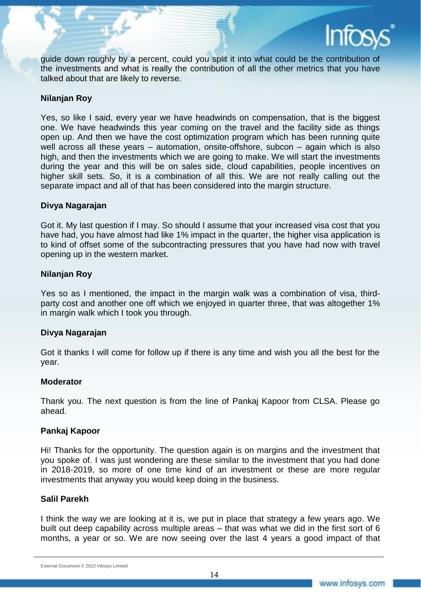

guide down roughly by a percent, could you split it into what could be the contribution of the investments and what is really the contribution of all the other metrics that you have talked about that are likely to reverse.

### **Nilanjan Roy**

Yes, so like I said, every year we have headwinds on compensation, that is the biggest one. We have headwinds this year coming on the travel and the facility side as things open up. And then we have the cost optimization program which has been running quite well across all these years – automation, onsite-offshore, subcon – again which is also high, and then the investments which we are going to make. We will start the investments during the year and this will be on sales side, cloud capabilities, people incentives on higher skill sets. So, it is a combination of all this. We are not really calling out the separate impact and all of that has been considered into the margin structure.

#### **Divya Nagarajan**

Got it. My last question if I may. So should I assume that your increased visa cost that you have had, you have almost had like 1% impact in the quarter, the higher visa application is to kind of offset some of the subcontracting pressures that you have had now with travel opening up in the western market.

### **Nilanjan Roy**

Yes so as I mentioned, the impact in the margin walk was a combination of visa, thirdparty cost and another one off which we enjoyed in quarter three, that was altogether 1% in margin walk which I took you through.

#### **Divya Nagarajan**

Got it thanks I will come for follow up if there is any time and wish you all the best for the year.

#### **Moderator**

Thank you. The next question is from the line of Pankaj Kapoor from CLSA. Please go ahead.

#### **Pankaj Kapoor**

Hi! Thanks for the opportunity. The question again is on margins and the investment that you spoke of. I was just wondering are these similar to the investment that you had done in 2018-2019, so more of one time kind of an investment or these are more regular investments that anyway you would keep doing in the business.

#### **Salil Parekh**

I think the way we are looking at it is, we put in place that strategy a few years ago. We built out deep capability across multiple areas – that was what we did in the first sort of 6 months, a year or so. We are now seeing over the last 4 years a good impact of that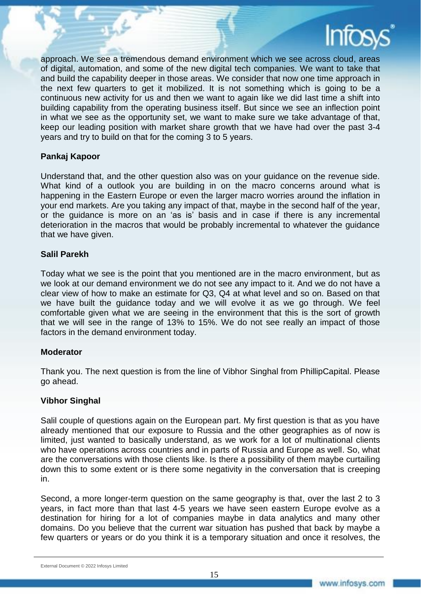

approach. We see a tremendous demand environment which we see across cloud, areas of digital, automation, and some of the new digital tech companies. We want to take that and build the capability deeper in those areas. We consider that now one time approach in the next few quarters to get it mobilized. It is not something which is going to be a continuous new activity for us and then we want to again like we did last time a shift into building capability from the operating business itself. But since we see an inflection point in what we see as the opportunity set, we want to make sure we take advantage of that, keep our leading position with market share growth that we have had over the past 3-4 years and try to build on that for the coming 3 to 5 years.

### **Pankaj Kapoor**

Understand that, and the other question also was on your guidance on the revenue side. What kind of a outlook you are building in on the macro concerns around what is happening in the Eastern Europe or even the larger macro worries around the inflation in your end markets. Are you taking any impact of that, maybe in the second half of the year, or the guidance is more on an 'as is' basis and in case if there is any incremental deterioration in the macros that would be probably incremental to whatever the guidance that we have given.

### **Salil Parekh**

Today what we see is the point that you mentioned are in the macro environment, but as we look at our demand environment we do not see any impact to it. And we do not have a clear view of how to make an estimate for Q3, Q4 at what level and so on. Based on that we have built the guidance today and we will evolve it as we go through. We feel comfortable given what we are seeing in the environment that this is the sort of growth that we will see in the range of 13% to 15%. We do not see really an impact of those factors in the demand environment today.

#### **Moderator**

Thank you. The next question is from the line of Vibhor Singhal from PhillipCapital. Please go ahead.

#### **Vibhor Singhal**

Salil couple of questions again on the European part. My first question is that as you have already mentioned that our exposure to Russia and the other geographies as of now is limited, just wanted to basically understand, as we work for a lot of multinational clients who have operations across countries and in parts of Russia and Europe as well. So, what are the conversations with those clients like. Is there a possibility of them maybe curtailing down this to some extent or is there some negativity in the conversation that is creeping in.

Second, a more longer-term question on the same geography is that, over the last 2 to 3 years, in fact more than that last 4-5 years we have seen eastern Europe evolve as a destination for hiring for a lot of companies maybe in data analytics and many other domains. Do you believe that the current war situation has pushed that back by maybe a few quarters or years or do you think it is a temporary situation and once it resolves, the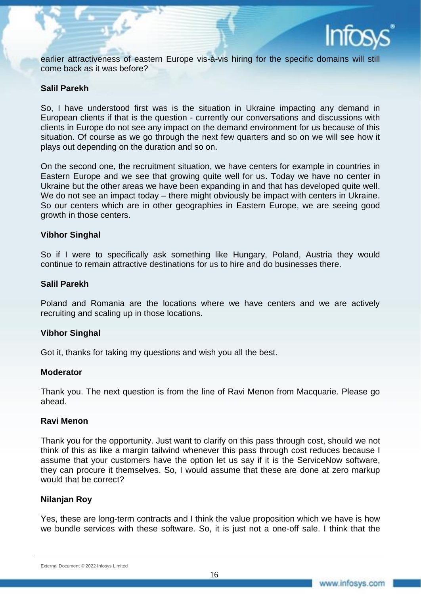

earlier attractiveness of eastern Europe vis-à-vis hiring for the specific domains will still come back as it was before?

#### **Salil Parekh**

So, I have understood first was is the situation in Ukraine impacting any demand in European clients if that is the question - currently our conversations and discussions with clients in Europe do not see any impact on the demand environment for us because of this situation. Of course as we go through the next few quarters and so on we will see how it plays out depending on the duration and so on.

On the second one, the recruitment situation, we have centers for example in countries in Eastern Europe and we see that growing quite well for us. Today we have no center in Ukraine but the other areas we have been expanding in and that has developed quite well. We do not see an impact today – there might obviously be impact with centers in Ukraine. So our centers which are in other geographies in Eastern Europe, we are seeing good growth in those centers.

#### **Vibhor Singhal**

So if I were to specifically ask something like Hungary, Poland, Austria they would continue to remain attractive destinations for us to hire and do businesses there.

#### **Salil Parekh**

Poland and Romania are the locations where we have centers and we are actively recruiting and scaling up in those locations.

#### **Vibhor Singhal**

Got it, thanks for taking my questions and wish you all the best.

#### **Moderator**

Thank you. The next question is from the line of Ravi Menon from Macquarie. Please go ahead.

### **Ravi Menon**

Thank you for the opportunity. Just want to clarify on this pass through cost, should we not think of this as like a margin tailwind whenever this pass through cost reduces because I assume that your customers have the option let us say if it is the ServiceNow software, they can procure it themselves. So, I would assume that these are done at zero markup would that be correct?

#### **Nilanjan Roy**

Yes, these are long-term contracts and I think the value proposition which we have is how we bundle services with these software. So, it is just not a one-off sale. I think that the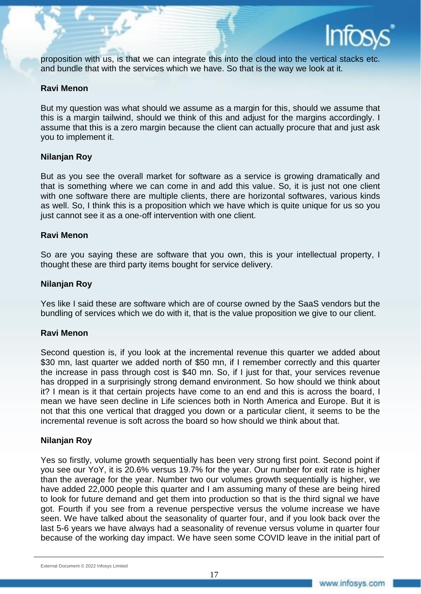

proposition with us, is that we can integrate this into the cloud into the vertical stacks etc. and bundle that with the services which we have. So that is the way we look at it.

#### **Ravi Menon**

But my question was what should we assume as a margin for this, should we assume that this is a margin tailwind, should we think of this and adjust for the margins accordingly. I assume that this is a zero margin because the client can actually procure that and just ask you to implement it.

### **Nilanjan Roy**

But as you see the overall market for software as a service is growing dramatically and that is something where we can come in and add this value. So, it is just not one client with one software there are multiple clients, there are horizontal softwares, various kinds as well. So, I think this is a proposition which we have which is quite unique for us so you just cannot see it as a one-off intervention with one client.

#### **Ravi Menon**

So are you saying these are software that you own, this is your intellectual property, I thought these are third party items bought for service delivery.

#### **Nilanjan Roy**

Yes like I said these are software which are of course owned by the SaaS vendors but the bundling of services which we do with it, that is the value proposition we give to our client.

#### **Ravi Menon**

Second question is, if you look at the incremental revenue this quarter we added about \$30 mn, last quarter we added north of \$50 mn, if I remember correctly and this quarter the increase in pass through cost is \$40 mn. So, if I just for that, your services revenue has dropped in a surprisingly strong demand environment. So how should we think about it? I mean is it that certain projects have come to an end and this is across the board, I mean we have seen decline in Life sciences both in North America and Europe. But it is not that this one vertical that dragged you down or a particular client, it seems to be the incremental revenue is soft across the board so how should we think about that.

#### **Nilanjan Roy**

Yes so firstly, volume growth sequentially has been very strong first point. Second point if you see our YoY, it is 20.6% versus 19.7% for the year. Our number for exit rate is higher than the average for the year. Number two our volumes growth sequentially is higher, we have added 22,000 people this quarter and I am assuming many of these are being hired to look for future demand and get them into production so that is the third signal we have got. Fourth if you see from a revenue perspective versus the volume increase we have seen. We have talked about the seasonality of quarter four, and if you look back over the last 5-6 years we have always had a seasonality of revenue versus volume in quarter four because of the working day impact. We have seen some COVID leave in the initial part of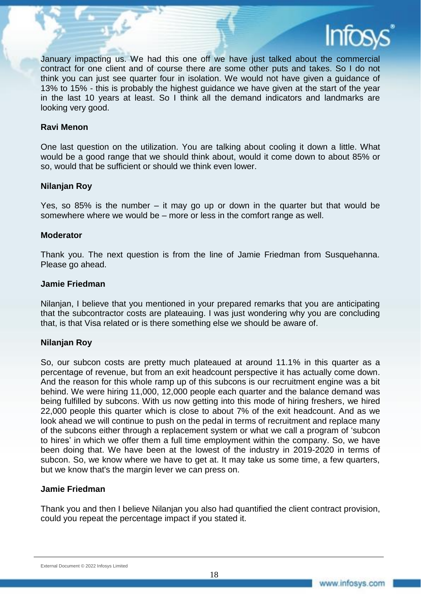

January impacting us. We had this one off we have just talked about the commercial contract for one client and of course there are some other puts and takes. So I do not think you can just see quarter four in isolation. We would not have given a guidance of 13% to 15% - this is probably the highest guidance we have given at the start of the year in the last 10 years at least. So I think all the demand indicators and landmarks are looking very good.

#### **Ravi Menon**

One last question on the utilization. You are talking about cooling it down a little. What would be a good range that we should think about, would it come down to about 85% or so, would that be sufficient or should we think even lower.

#### **Nilanjan Roy**

Yes, so 85% is the number – it may go up or down in the quarter but that would be somewhere where we would be – more or less in the comfort range as well.

#### **Moderator**

Thank you. The next question is from the line of Jamie Friedman from Susquehanna. Please go ahead.

#### **Jamie Friedman**

Nilanjan, I believe that you mentioned in your prepared remarks that you are anticipating that the subcontractor costs are plateauing. I was just wondering why you are concluding that, is that Visa related or is there something else we should be aware of.

#### **Nilanjan Roy**

So, our subcon costs are pretty much plateaued at around 11.1% in this quarter as a percentage of revenue, but from an exit headcount perspective it has actually come down. And the reason for this whole ramp up of this subcons is our recruitment engine was a bit behind. We were hiring 11,000, 12,000 people each quarter and the balance demand was being fulfilled by subcons. With us now getting into this mode of hiring freshers, we hired 22,000 people this quarter which is close to about 7% of the exit headcount. And as we look ahead we will continue to push on the pedal in terms of recruitment and replace many of the subcons either through a replacement system or what we call a program of 'subcon to hires' in which we offer them a full time employment within the company. So, we have been doing that. We have been at the lowest of the industry in 2019-2020 in terms of subcon. So, we know where we have to get at. It may take us some time, a few quarters, but we know that's the margin lever we can press on.

#### **Jamie Friedman**

Thank you and then I believe Nilanjan you also had quantified the client contract provision, could you repeat the percentage impact if you stated it.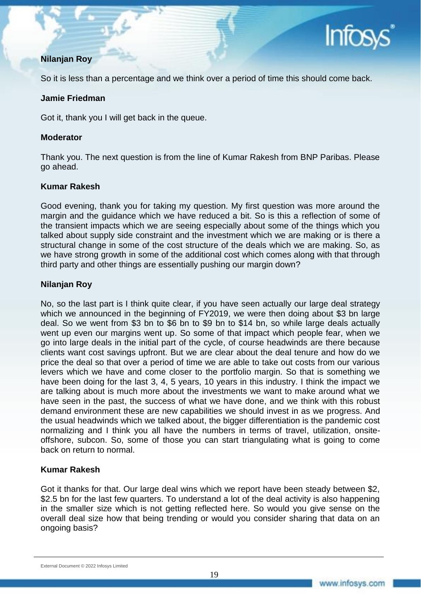

## **Nilanjan Roy**

So it is less than a percentage and we think over a period of time this should come back.

#### **Jamie Friedman**

Got it, thank you I will get back in the queue.

#### **Moderator**

Thank you. The next question is from the line of Kumar Rakesh from BNP Paribas. Please go ahead.

### **Kumar Rakesh**

Good evening, thank you for taking my question. My first question was more around the margin and the guidance which we have reduced a bit. So is this a reflection of some of the transient impacts which we are seeing especially about some of the things which you talked about supply side constraint and the investment which we are making or is there a structural change in some of the cost structure of the deals which we are making. So, as we have strong growth in some of the additional cost which comes along with that through third party and other things are essentially pushing our margin down?

### **Nilanjan Roy**

No, so the last part is I think quite clear, if you have seen actually our large deal strategy which we announced in the beginning of FY2019, we were then doing about \$3 bn large deal. So we went from \$3 bn to \$6 bn to \$9 bn to \$14 bn, so while large deals actually went up even our margins went up. So some of that impact which people fear, when we go into large deals in the initial part of the cycle, of course headwinds are there because clients want cost savings upfront. But we are clear about the deal tenure and how do we price the deal so that over a period of time we are able to take out costs from our various levers which we have and come closer to the portfolio margin. So that is something we have been doing for the last 3, 4, 5 years, 10 years in this industry. I think the impact we are talking about is much more about the investments we want to make around what we have seen in the past, the success of what we have done, and we think with this robust demand environment these are new capabilities we should invest in as we progress. And the usual headwinds which we talked about, the bigger differentiation is the pandemic cost normalizing and I think you all have the numbers in terms of travel, utilization, onsiteoffshore, subcon. So, some of those you can start triangulating what is going to come back on return to normal.

### **Kumar Rakesh**

Got it thanks for that. Our large deal wins which we report have been steady between \$2, \$2.5 bn for the last few quarters. To understand a lot of the deal activity is also happening in the smaller size which is not getting reflected here. So would you give sense on the overall deal size how that being trending or would you consider sharing that data on an ongoing basis?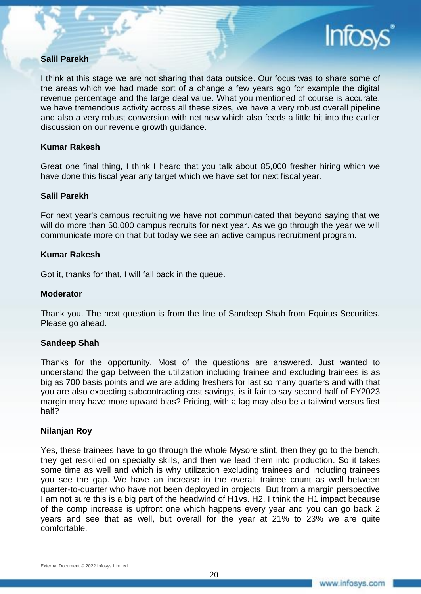### **Salil Parekh**

I think at this stage we are not sharing that data outside. Our focus was to share some of the areas which we had made sort of a change a few years ago for example the digital revenue percentage and the large deal value. What you mentioned of course is accurate, we have tremendous activity across all these sizes, we have a very robust overall pipeline and also a very robust conversion with net new which also feeds a little bit into the earlier discussion on our revenue growth guidance.

#### **Kumar Rakesh**

Great one final thing, I think I heard that you talk about 85,000 fresher hiring which we have done this fiscal year any target which we have set for next fiscal year.

### **Salil Parekh**

For next year's campus recruiting we have not communicated that beyond saying that we will do more than 50,000 campus recruits for next year. As we go through the year we will communicate more on that but today we see an active campus recruitment program.

#### **Kumar Rakesh**

Got it, thanks for that, I will fall back in the queue.

### **Moderator**

Thank you. The next question is from the line of Sandeep Shah from Equirus Securities. Please go ahead.

### **Sandeep Shah**

Thanks for the opportunity. Most of the questions are answered. Just wanted to understand the gap between the utilization including trainee and excluding trainees is as big as 700 basis points and we are adding freshers for last so many quarters and with that you are also expecting subcontracting cost savings, is it fair to say second half of FY2023 margin may have more upward bias? Pricing, with a lag may also be a tailwind versus first half?

#### **Nilanjan Roy**

Yes, these trainees have to go through the whole Mysore stint, then they go to the bench, they get reskilled on specialty skills, and then we lead them into production. So it takes some time as well and which is why utilization excluding trainees and including trainees you see the gap. We have an increase in the overall trainee count as well between quarter-to-quarter who have not been deployed in projects. But from a margin perspective I am not sure this is a big part of the headwind of H1vs. H2. I think the H1 impact because of the comp increase is upfront one which happens every year and you can go back 2 years and see that as well, but overall for the year at 21% to 23% we are quite comfortable.